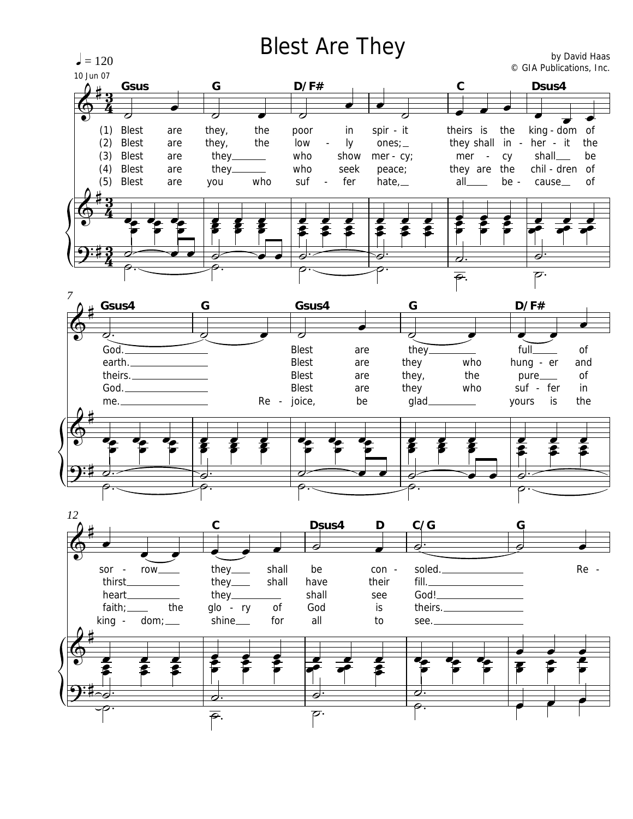